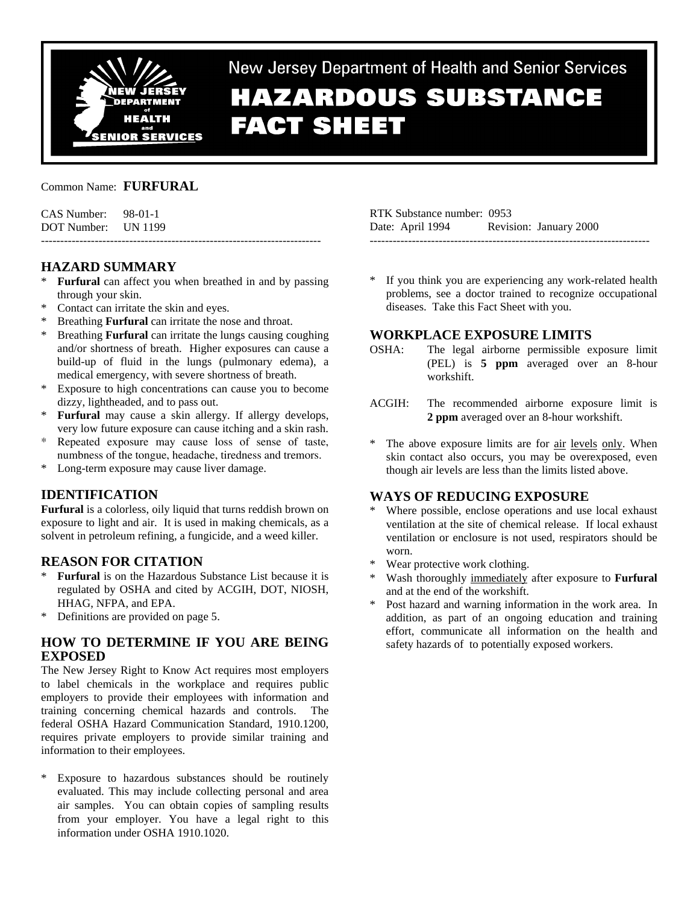

New Jersey Department of Health and Senior Services **HAZARDOUS SUBSTANCE FACT SHEET** 

### Common Name: **FURFURAL**

| $CAS$ Number: $98-01-1$ |  |
|-------------------------|--|
| DOT Number: UN 1199     |  |
|                         |  |

## **HAZARD SUMMARY**

- \* **Furfural** can affect you when breathed in and by passing through your skin.
- Contact can irritate the skin and eyes.
- \* Breathing **Furfural** can irritate the nose and throat.
- Breathing **Furfural** can irritate the lungs causing coughing and/or shortness of breath. Higher exposures can cause a build-up of fluid in the lungs (pulmonary edema), a medical emergency, with severe shortness of breath.
- \* Exposure to high concentrations can cause you to become dizzy, lightheaded, and to pass out.
- \* **Furfural** may cause a skin allergy. If allergy develops, very low future exposure can cause itching and a skin rash.
- \* Repeated exposure may cause loss of sense of taste, numbness of the tongue, headache, tiredness and tremors.
- \* Long-term exposure may cause liver damage.

## **IDENTIFICATION**

**Furfural** is a colorless, oily liquid that turns reddish brown on exposure to light and air. It is used in making chemicals, as a solvent in petroleum refining, a fungicide, and a weed killer.

## **REASON FOR CITATION**

- \* **Furfural** is on the Hazardous Substance List because it is regulated by OSHA and cited by ACGIH, DOT, NIOSH, HHAG, NFPA, and EPA.
- \* Definitions are provided on page 5.

## **HOW TO DETERMINE IF YOU ARE BEING EXPOSED**

The New Jersey Right to Know Act requires most employers to label chemicals in the workplace and requires public employers to provide their employees with information and training concerning chemical hazards and controls. The federal OSHA Hazard Communication Standard, 1910.1200, requires private employers to provide similar training and information to their employees.

Exposure to hazardous substances should be routinely evaluated. This may include collecting personal and area air samples. You can obtain copies of sampling results from your employer. You have a legal right to this information under OSHA 1910.1020.

| RTK Substance number: 0953 |                        |
|----------------------------|------------------------|
| Date: April 1994           | Revision: January 2000 |
|                            |                        |

\* If you think you are experiencing any work-related health problems, see a doctor trained to recognize occupational diseases. Take this Fact Sheet with you.

## **WORKPLACE EXPOSURE LIMITS**

- OSHA: The legal airborne permissible exposure limit (PEL) is **5 ppm** averaged over an 8-hour workshift.
- ACGIH: The recommended airborne exposure limit is **2 ppm** averaged over an 8-hour workshift.
- The above exposure limits are for <u>air levels only</u>. When skin contact also occurs, you may be overexposed, even though air levels are less than the limits listed above.

## **WAYS OF REDUCING EXPOSURE**

- Where possible, enclose operations and use local exhaust ventilation at the site of chemical release. If local exhaust ventilation or enclosure is not used, respirators should be worn.
- \* Wear protective work clothing.
- Wash thoroughly immediately after exposure to **Furfural** and at the end of the workshift.
- Post hazard and warning information in the work area. In addition, as part of an ongoing education and training effort, communicate all information on the health and safety hazards of to potentially exposed workers.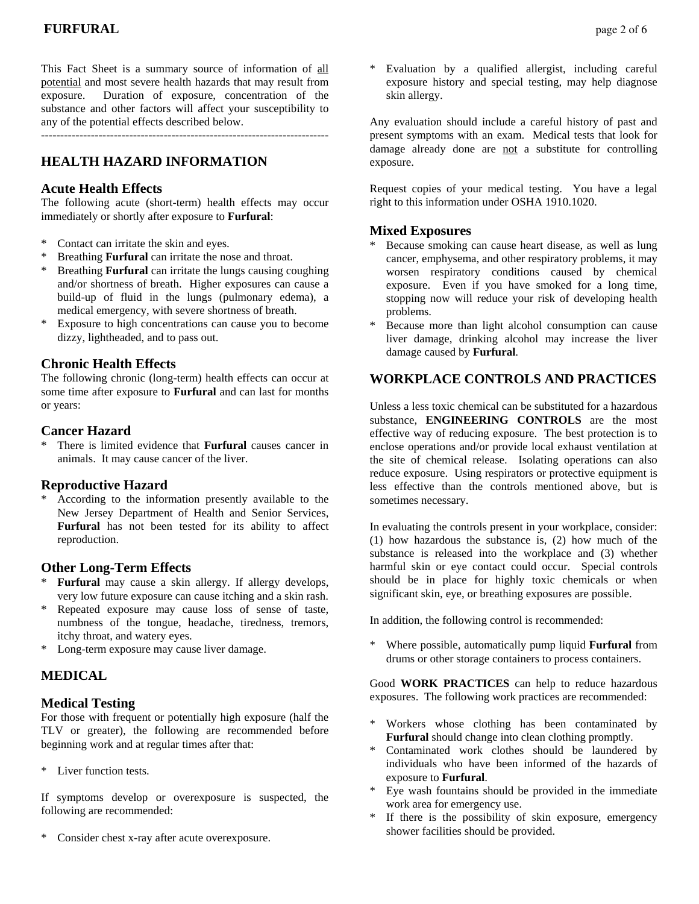This Fact Sheet is a summary source of information of all potential and most severe health hazards that may result from exposure. Duration of exposure, concentration of the substance and other factors will affect your susceptibility to any of the potential effects described below.

---------------------------------------------------------------------------

## **HEALTH HAZARD INFORMATION**

### **Acute Health Effects**

The following acute (short-term) health effects may occur immediately or shortly after exposure to **Furfural**:

- \* Contact can irritate the skin and eyes.
- \* Breathing **Furfural** can irritate the nose and throat.
- Breathing **Furfural** can irritate the lungs causing coughing and/or shortness of breath. Higher exposures can cause a build-up of fluid in the lungs (pulmonary edema), a medical emergency, with severe shortness of breath.
- Exposure to high concentrations can cause you to become dizzy, lightheaded, and to pass out.

## **Chronic Health Effects**

The following chronic (long-term) health effects can occur at some time after exposure to **Furfural** and can last for months or years:

## **Cancer Hazard**

\* There is limited evidence that **Furfural** causes cancer in animals. It may cause cancer of the liver.

### **Reproductive Hazard**

According to the information presently available to the New Jersey Department of Health and Senior Services, **Furfural** has not been tested for its ability to affect reproduction.

### **Other Long-Term Effects**

- Furfural may cause a skin allergy. If allergy develops, very low future exposure can cause itching and a skin rash.
- Repeated exposure may cause loss of sense of taste, numbness of the tongue, headache, tiredness, tremors, itchy throat, and watery eyes.
- Long-term exposure may cause liver damage.

## **MEDICAL**

## **Medical Testing**

For those with frequent or potentially high exposure (half the TLV or greater), the following are recommended before beginning work and at regular times after that:

\* Liver function tests.

If symptoms develop or overexposure is suspected, the following are recommended:

\* Consider chest x-ray after acute overexposure.

Evaluation by a qualified allergist, including careful exposure history and special testing, may help diagnose skin allergy.

Any evaluation should include a careful history of past and present symptoms with an exam. Medical tests that look for damage already done are not a substitute for controlling exposure.

Request copies of your medical testing. You have a legal right to this information under OSHA 1910.1020.

### **Mixed Exposures**

- Because smoking can cause heart disease, as well as lung cancer, emphysema, and other respiratory problems, it may worsen respiratory conditions caused by chemical exposure. Even if you have smoked for a long time, stopping now will reduce your risk of developing health problems.
- Because more than light alcohol consumption can cause liver damage, drinking alcohol may increase the liver damage caused by **Furfural**.

## **WORKPLACE CONTROLS AND PRACTICES**

Unless a less toxic chemical can be substituted for a hazardous substance, **ENGINEERING CONTROLS** are the most effective way of reducing exposure. The best protection is to enclose operations and/or provide local exhaust ventilation at the site of chemical release. Isolating operations can also reduce exposure. Using respirators or protective equipment is less effective than the controls mentioned above, but is sometimes necessary.

In evaluating the controls present in your workplace, consider: (1) how hazardous the substance is, (2) how much of the substance is released into the workplace and (3) whether harmful skin or eye contact could occur. Special controls should be in place for highly toxic chemicals or when significant skin, eye, or breathing exposures are possible.

In addition, the following control is recommended:

\* Where possible, automatically pump liquid **Furfural** from drums or other storage containers to process containers.

Good **WORK PRACTICES** can help to reduce hazardous exposures. The following work practices are recommended:

- Workers whose clothing has been contaminated by **Furfural** should change into clean clothing promptly.
- \* Contaminated work clothes should be laundered by individuals who have been informed of the hazards of exposure to **Furfural**.
- Eye wash fountains should be provided in the immediate work area for emergency use.
- If there is the possibility of skin exposure, emergency shower facilities should be provided.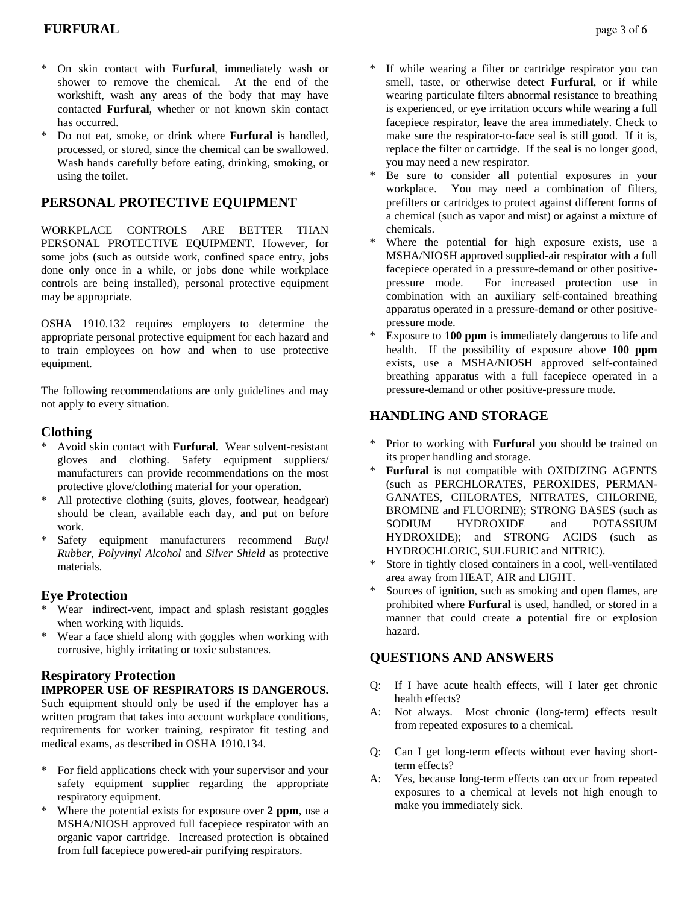# **FURFURAL** page 3 of 6

- \* On skin contact with **Furfural**, immediately wash or shower to remove the chemical. At the end of the workshift, wash any areas of the body that may have contacted **Furfural**, whether or not known skin contact has occurred.
- \* Do not eat, smoke, or drink where **Furfural** is handled, processed, or stored, since the chemical can be swallowed. Wash hands carefully before eating, drinking, smoking, or using the toilet.

## **PERSONAL PROTECTIVE EQUIPMENT**

WORKPLACE CONTROLS ARE BETTER THAN PERSONAL PROTECTIVE EQUIPMENT. However, for some jobs (such as outside work, confined space entry, jobs done only once in a while, or jobs done while workplace controls are being installed), personal protective equipment may be appropriate.

OSHA 1910.132 requires employers to determine the appropriate personal protective equipment for each hazard and to train employees on how and when to use protective equipment.

The following recommendations are only guidelines and may not apply to every situation.

## **Clothing**

- \* Avoid skin contact with **Furfural**. Wear solvent-resistant gloves and clothing. Safety equipment suppliers/ manufacturers can provide recommendations on the most protective glove/clothing material for your operation.
- \* All protective clothing (suits, gloves, footwear, headgear) should be clean, available each day, and put on before work.
- Safety equipment manufacturers recommend *Butyl Rubber*, *Polyvinyl Alcohol* and *Silver Shield* as protective materials.

## **Eye Protection**

- \* Wear indirect-vent, impact and splash resistant goggles when working with liquids.
- \* Wear a face shield along with goggles when working with corrosive, highly irritating or toxic substances.

# **Respiratory Protection**

## **IMPROPER USE OF RESPIRATORS IS DANGEROUS.**

Such equipment should only be used if the employer has a written program that takes into account workplace conditions, requirements for worker training, respirator fit testing and medical exams, as described in OSHA 1910.134.

- For field applications check with your supervisor and your safety equipment supplier regarding the appropriate respiratory equipment.
- \* Where the potential exists for exposure over **2 ppm**, use a MSHA/NIOSH approved full facepiece respirator with an organic vapor cartridge. Increased protection is obtained from full facepiece powered-air purifying respirators.
- If while wearing a filter or cartridge respirator you can smell, taste, or otherwise detect **Furfural**, or if while wearing particulate filters abnormal resistance to breathing is experienced, or eye irritation occurs while wearing a full facepiece respirator, leave the area immediately. Check to make sure the respirator-to-face seal is still good. If it is, replace the filter or cartridge. If the seal is no longer good, you may need a new respirator.
- \* Be sure to consider all potential exposures in your workplace. You may need a combination of filters, prefilters or cartridges to protect against different forms of a chemical (such as vapor and mist) or against a mixture of chemicals.
- Where the potential for high exposure exists, use a MSHA/NIOSH approved supplied-air respirator with a full facepiece operated in a pressure-demand or other positivepressure mode. For increased protection use in combination with an auxiliary self-contained breathing apparatus operated in a pressure-demand or other positivepressure mode.
- Exposure to **100 ppm** is immediately dangerous to life and health. If the possibility of exposure above **100 ppm** exists, use a MSHA/NIOSH approved self-contained breathing apparatus with a full facepiece operated in a pressure-demand or other positive-pressure mode.

## **HANDLING AND STORAGE**

- Prior to working with **Furfural** you should be trained on its proper handling and storage.
- Furfural is not compatible with OXIDIZING AGENTS (such as PERCHLORATES, PEROXIDES, PERMAN-GANATES, CHLORATES, NITRATES, CHLORINE, BROMINE and FLUORINE); STRONG BASES (such as SODIUM HYDROXIDE and POTASSIUM HYDROXIDE); and STRONG ACIDS (such as HYDROCHLORIC, SULFURIC and NITRIC).
- Store in tightly closed containers in a cool, well-ventilated area away from HEAT, AIR and LIGHT.
- Sources of ignition, such as smoking and open flames, are prohibited where **Furfural** is used, handled, or stored in a manner that could create a potential fire or explosion hazard.

## **QUESTIONS AND ANSWERS**

- Q: If I have acute health effects, will I later get chronic health effects?
- A: Not always. Most chronic (long-term) effects result from repeated exposures to a chemical.
- Q: Can I get long-term effects without ever having shortterm effects?
- A: Yes, because long-term effects can occur from repeated exposures to a chemical at levels not high enough to make you immediately sick.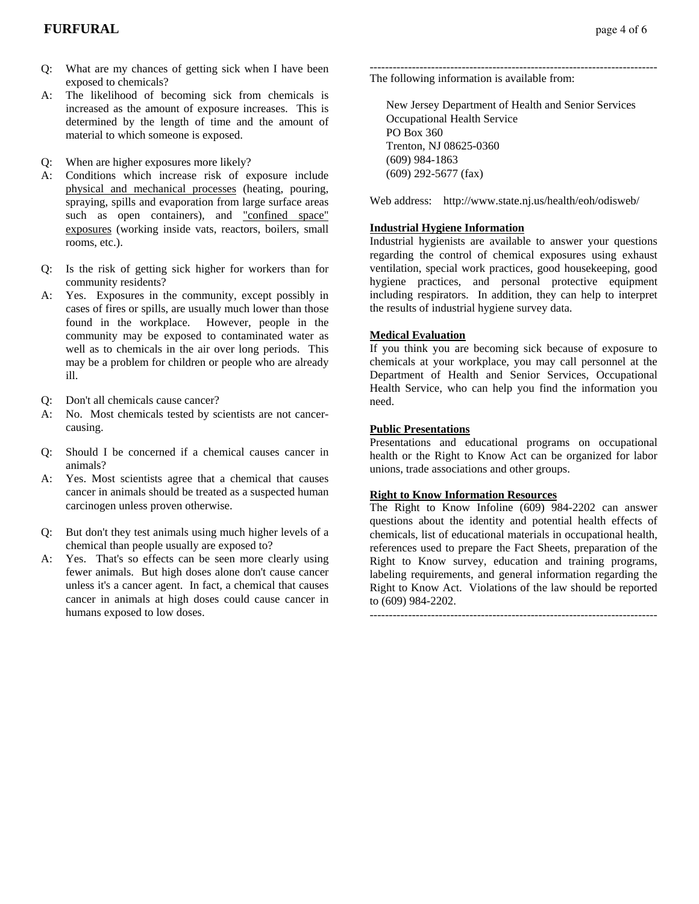- Q: What are my chances of getting sick when I have been exposed to chemicals?
- A: The likelihood of becoming sick from chemicals is increased as the amount of exposure increases. This is determined by the length of time and the amount of material to which someone is exposed.

Q: When are higher exposures more likely?

- A: Conditions which increase risk of exposure include physical and mechanical processes (heating, pouring, spraying, spills and evaporation from large surface areas such as open containers), and "confined space" exposures (working inside vats, reactors, boilers, small rooms, etc.).
- Q: Is the risk of getting sick higher for workers than for community residents?
- A: Yes. Exposures in the community, except possibly in cases of fires or spills, are usually much lower than those found in the workplace. However, people in the community may be exposed to contaminated water as well as to chemicals in the air over long periods. This may be a problem for children or people who are already ill.
- Q: Don't all chemicals cause cancer?
- A: No. Most chemicals tested by scientists are not cancercausing.
- Q: Should I be concerned if a chemical causes cancer in animals?
- A: Yes. Most scientists agree that a chemical that causes cancer in animals should be treated as a suspected human carcinogen unless proven otherwise.
- Q: But don't they test animals using much higher levels of a chemical than people usually are exposed to?
- A: Yes. That's so effects can be seen more clearly using fewer animals. But high doses alone don't cause cancer unless it's a cancer agent. In fact, a chemical that causes cancer in animals at high doses could cause cancer in humans exposed to low doses.

--------------------------------------------------------------------------- The following information is available from:

 New Jersey Department of Health and Senior Services Occupational Health Service PO Box 360 Trenton, NJ 08625-0360 (609) 984-1863 (609) 292-5677 (fax)

Web address: http://www.state.nj.us/health/eoh/odisweb/

### **Industrial Hygiene Information**

Industrial hygienists are available to answer your questions regarding the control of chemical exposures using exhaust ventilation, special work practices, good housekeeping, good hygiene practices, and personal protective equipment including respirators. In addition, they can help to interpret the results of industrial hygiene survey data.

### **Medical Evaluation**

If you think you are becoming sick because of exposure to chemicals at your workplace, you may call personnel at the Department of Health and Senior Services, Occupational Health Service, who can help you find the information you need.

### **Public Presentations**

Presentations and educational programs on occupational health or the Right to Know Act can be organized for labor unions, trade associations and other groups.

### **Right to Know Information Resources**

The Right to Know Infoline (609) 984-2202 can answer questions about the identity and potential health effects of chemicals, list of educational materials in occupational health, references used to prepare the Fact Sheets, preparation of the Right to Know survey, education and training programs, labeling requirements, and general information regarding the Right to Know Act. Violations of the law should be reported to (609) 984-2202.

---------------------------------------------------------------------------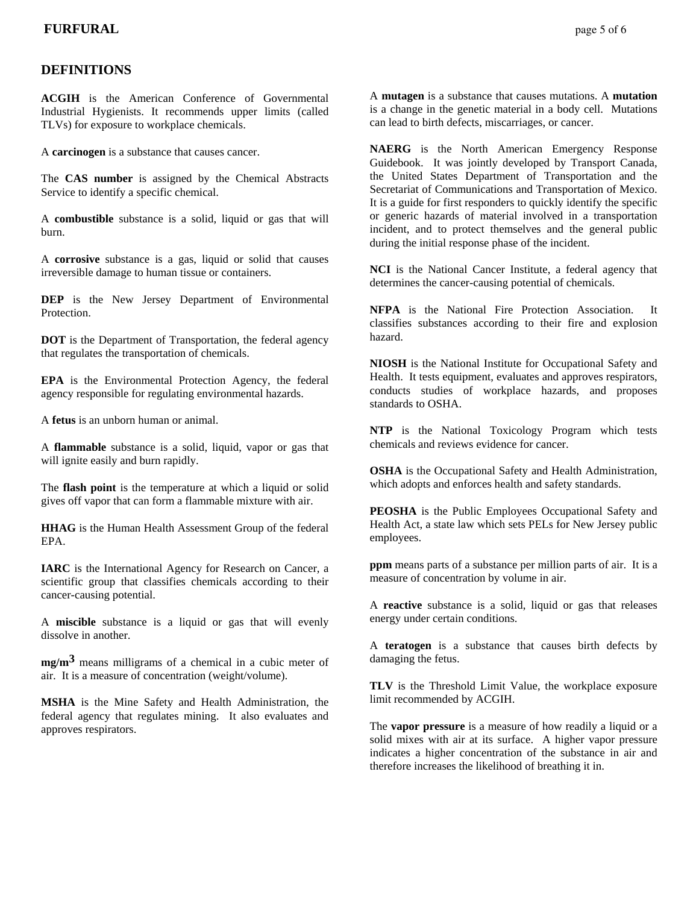## **DEFINITIONS**

**ACGIH** is the American Conference of Governmental Industrial Hygienists. It recommends upper limits (called TLVs) for exposure to workplace chemicals.

A **carcinogen** is a substance that causes cancer.

The **CAS number** is assigned by the Chemical Abstracts Service to identify a specific chemical.

A **combustible** substance is a solid, liquid or gas that will burn.

A **corrosive** substance is a gas, liquid or solid that causes irreversible damage to human tissue or containers.

**DEP** is the New Jersey Department of Environmental Protection.

**DOT** is the Department of Transportation, the federal agency that regulates the transportation of chemicals.

**EPA** is the Environmental Protection Agency, the federal agency responsible for regulating environmental hazards.

A **fetus** is an unborn human or animal.

A **flammable** substance is a solid, liquid, vapor or gas that will ignite easily and burn rapidly.

The **flash point** is the temperature at which a liquid or solid gives off vapor that can form a flammable mixture with air.

**HHAG** is the Human Health Assessment Group of the federal EPA.

**IARC** is the International Agency for Research on Cancer, a scientific group that classifies chemicals according to their cancer-causing potential.

A **miscible** substance is a liquid or gas that will evenly dissolve in another.

**mg/m3** means milligrams of a chemical in a cubic meter of air. It is a measure of concentration (weight/volume).

**MSHA** is the Mine Safety and Health Administration, the federal agency that regulates mining. It also evaluates and approves respirators.

A **mutagen** is a substance that causes mutations. A **mutation** is a change in the genetic material in a body cell. Mutations can lead to birth defects, miscarriages, or cancer.

**NAERG** is the North American Emergency Response Guidebook. It was jointly developed by Transport Canada, the United States Department of Transportation and the Secretariat of Communications and Transportation of Mexico. It is a guide for first responders to quickly identify the specific or generic hazards of material involved in a transportation incident, and to protect themselves and the general public during the initial response phase of the incident.

**NCI** is the National Cancer Institute, a federal agency that determines the cancer-causing potential of chemicals.

**NFPA** is the National Fire Protection Association. It classifies substances according to their fire and explosion hazard.

**NIOSH** is the National Institute for Occupational Safety and Health. It tests equipment, evaluates and approves respirators, conducts studies of workplace hazards, and proposes standards to OSHA.

**NTP** is the National Toxicology Program which tests chemicals and reviews evidence for cancer.

**OSHA** is the Occupational Safety and Health Administration, which adopts and enforces health and safety standards.

**PEOSHA** is the Public Employees Occupational Safety and Health Act, a state law which sets PELs for New Jersey public employees.

**ppm** means parts of a substance per million parts of air. It is a measure of concentration by volume in air.

A **reactive** substance is a solid, liquid or gas that releases energy under certain conditions.

A **teratogen** is a substance that causes birth defects by damaging the fetus.

**TLV** is the Threshold Limit Value, the workplace exposure limit recommended by ACGIH.

The **vapor pressure** is a measure of how readily a liquid or a solid mixes with air at its surface. A higher vapor pressure indicates a higher concentration of the substance in air and therefore increases the likelihood of breathing it in.